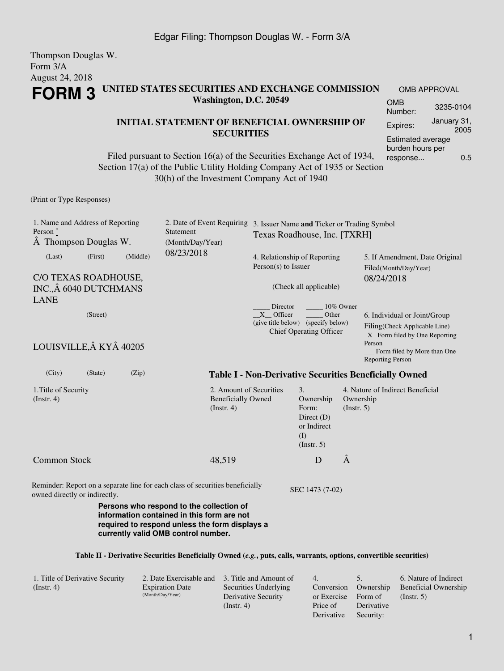#### Thompson Douglas W. Form 3/A August 24, 2018 **FORM 3 UNITED STATES SECURITIES AND EXCHANGE COMMISSION Washington, D.C. 20549** OMB APPROVAL OMB Number: 3235-0104 Expires: January 31,

### **INITIAL STATEMENT OF BENEFICIAL OWNERSHIP OF SECURITIES**

Filed pursuant to Section 16(a) of the Securities Exchange Act of 1934, Section 17(a) of the Public Utility Holding Company Act of 1935 or Section 30(h) of the Investment Company Act of 1940

(Print or Type Responses)

| 1. Name and Address of Reporting<br>Person $\degree$<br>A Thompson Douglas W. |                                                                       |  | 2. Date of Event Requiring<br>Statement<br>(Month/Day/Year)                                                                                                                     | 3. Issuer Name and Ticker or Trading Symbol<br>Texas Roadhouse, Inc. [TXRH]   |                                                                                    |                          |                                                                                                            |  |
|-------------------------------------------------------------------------------|-----------------------------------------------------------------------|--|---------------------------------------------------------------------------------------------------------------------------------------------------------------------------------|-------------------------------------------------------------------------------|------------------------------------------------------------------------------------|--------------------------|------------------------------------------------------------------------------------------------------------|--|
| (Last)                                                                        | (Middle)<br>(First)<br>C/O TEXAS ROADHOUSE,<br>INC., Â 6040 DUTCHMANS |  | 08/23/2018                                                                                                                                                                      | 4. Relationship of Reporting<br>Person(s) to Issuer<br>(Check all applicable) |                                                                                    |                          | 5. If Amendment, Date Original<br>Filed(Month/Day/Year)<br>08/24/2018                                      |  |
| <b>LANE</b>                                                                   | (Street)                                                              |  |                                                                                                                                                                                 | Director<br>$X$ Officer                                                       | Other<br>(give title below) (specify below)<br><b>Chief Operating Officer</b>      | 10% Owner                | 6. Individual or Joint/Group<br>Filing(Check Applicable Line)<br>$X$ Form filed by One Reporting<br>Person |  |
| LOUISVILLE, Â KYÂ 40205<br>(City)<br>(State)<br>(Zip)                         |                                                                       |  |                                                                                                                                                                                 |                                                                               |                                                                                    |                          | Form filed by More than One<br><b>Reporting Person</b>                                                     |  |
| 1. Title of Security<br>$($ Instr. 4 $)$                                      |                                                                       |  | 2. Amount of Securities<br><b>Beneficially Owned</b><br>$($ Instr. 4 $)$                                                                                                        |                                                                               | 3.<br>Ownership<br>Form:<br>Direct $(D)$<br>or Indirect<br>(I)<br>$($ Instr. 5 $)$ | Ownership<br>(Insert. 5) | <b>Table I - Non-Derivative Securities Beneficially Owned</b><br>4. Nature of Indirect Beneficial          |  |
| <b>Common Stock</b>                                                           |                                                                       |  | 48,519                                                                                                                                                                          |                                                                               | D                                                                                  | Â                        |                                                                                                            |  |
| owned directly or indirectly.                                                 |                                                                       |  | Reminder: Report on a separate line for each class of securities beneficially                                                                                                   |                                                                               | SEC 1473 (7-02)                                                                    |                          |                                                                                                            |  |
|                                                                               |                                                                       |  | Persons who respond to the collection of<br>information contained in this form are not<br>required to respond unless the form displays a<br>currently valid OMB control number. |                                                                               |                                                                                    |                          |                                                                                                            |  |

#### **Table II - Derivative Securities Beneficially Owned (***e.g.***, puts, calls, warrants, options, convertible securities)**

| 1. Title of Derivative Security | 2. Date Exercisable and 3. Title and Amount of |                       | $\overline{4}$      |            | 6. Nature of Indirect       |
|---------------------------------|------------------------------------------------|-----------------------|---------------------|------------|-----------------------------|
| $($ Instr. 4 $)$                | <b>Expiration Date</b>                         | Securities Underlying | Conversion          | Ownership  | <b>Beneficial Ownership</b> |
|                                 | (Month/Day/Year)                               | Derivative Security   | or Exercise Form of |            | $($ Instr. 5 $)$            |
|                                 |                                                | $($ Instr. 4)         | Price of            | Derivative |                             |
|                                 |                                                |                       | Derivative          | Security:  |                             |

2005

Estimated average burden hours per response... 0.5